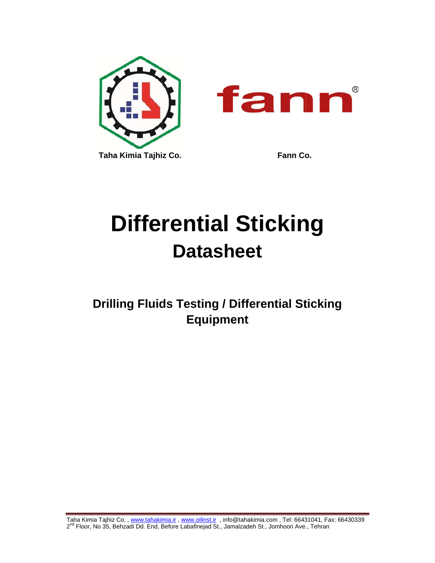

# **Differential Sticking Datasheet**

**Drilling Fluids Testing / Differential Sticking Equipment** 

Taha Kimia Tajhiz Co. , <u>www.tahakimia.ir , www.oilinst.ir</u> , info@tahakimia.com , Tel: 66431041, Fax: 66430339 2<sup>nd</sup> Floor, No 35, Behzadi Dd. End, Before Labafinejad St., Jamalzadeh St., Jomhoori Ave., Tehran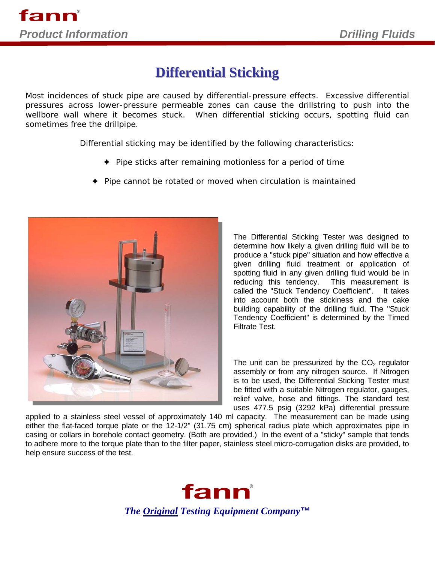## **Differential Sticking**

*Most incidences of stuck pipe are caused by differential-pressure effects. Excessive differential pressures across lower-pressure permeable zones can cause the drillstring to push into the wellbore wall where it becomes stuck. When differential sticking occurs, spotting fluid can sometimes free the drillpipe.* 

*Differential sticking may be identified by the following characteristics:* 

- *Pipe sticks after remaining motionless for a period of time*
- *Pipe cannot be rotated or moved when circulation is maintained*



The Differential Sticking Tester was designed to determine how likely a given drilling fluid will be to produce a "stuck pipe" situation and how effective a given drilling fluid treatment or application of spotting fluid in any given drilling fluid would be in reducing this tendency. This measurement is called the "Stuck Tendency Coefficient". It takes into account both the stickiness and the cake building capability of the drilling fluid. The "Stuck Tendency Coefficient" is determined by the Timed Filtrate Test.

The unit can be pressurized by the  $CO<sub>2</sub>$  regulator assembly or from any nitrogen source. If Nitrogen is to be used, the Differential Sticking Tester must be fitted with a suitable Nitrogen regulator, gauges, relief valve, hose and fittings. The standard test uses 477.5 psig (3292 kPa) differential pressure

applied to a stainless steel vessel of approximately 140 ml capacity. The measurement can be made using either the flat-faced torque plate or the 12-1/2" (31.75 cm) spherical radius plate which approximates pipe in casing or collars in borehole contact geometry. (Both are provided.) In the event of a "sticky" sample that tends to adhere more to the torque plate than to the filter paper, stainless steel micro-corrugation disks are provided, to help ensure success of the test.